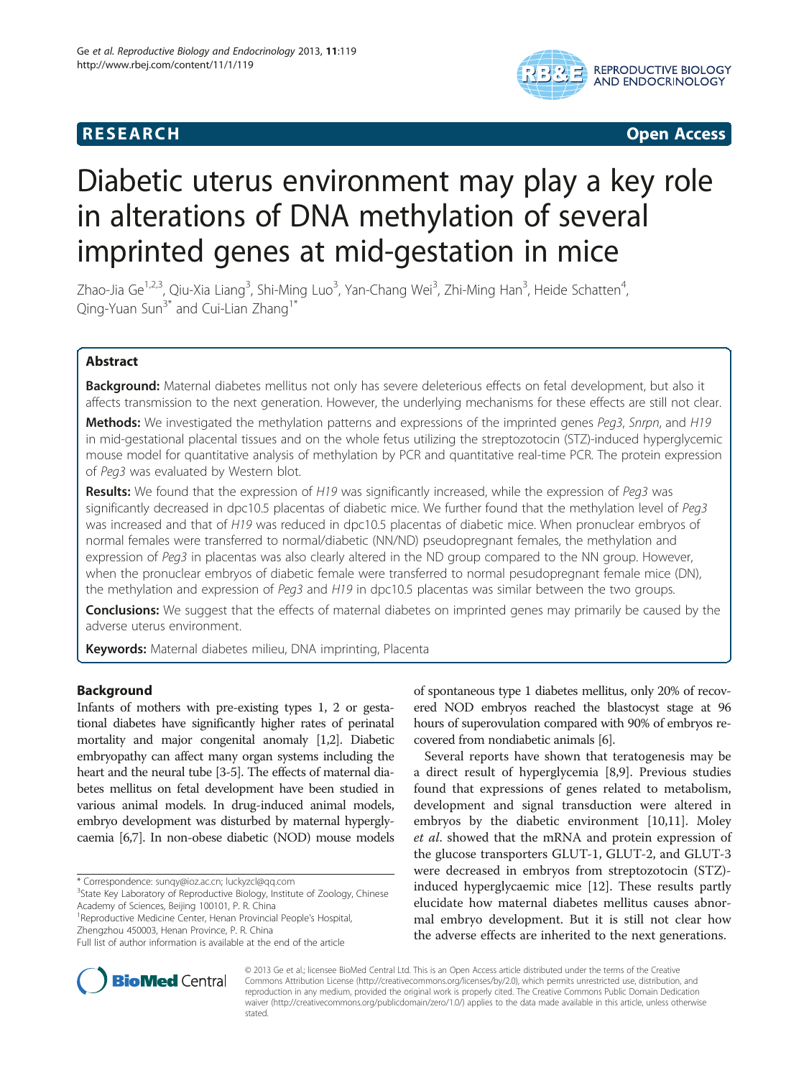## **RESEARCH CHILD CONTROL** CONTROL CONTROL CONTROL CONTROL CONTROL CONTROL CONTROL CONTROL CONTROL CONTROL CONTROL CONTROL CONTROL CONTROL CONTROL CONTROL CONTROL CONTROL CONTROL CONTROL CONTROL CONTROL CONTROL CONTROL CONTR



# Diabetic uterus environment may play a key role in alterations of DNA methylation of several imprinted genes at mid-gestation in mice

Zhao-Jia Ge<sup>1,2,3</sup>, Qiu-Xia Liang<sup>3</sup>, Shi-Ming Luo<sup>3</sup>, Yan-Chang Wei<sup>3</sup>, Zhi-Ming Han<sup>3</sup>, Heide Schatten<sup>4</sup> , Qing-Yuan Sun<sup>3\*</sup> and Cui-Lian Zhang<sup>1\*</sup>

## Abstract

**Background:** Maternal diabetes mellitus not only has severe deleterious effects on fetal development, but also it affects transmission to the next generation. However, the underlying mechanisms for these effects are still not clear.

Methods: We investigated the methylation patterns and expressions of the imprinted genes Peg3, Snrpn, and H19 in mid-gestational placental tissues and on the whole fetus utilizing the streptozotocin (STZ)-induced hyperglycemic mouse model for quantitative analysis of methylation by PCR and quantitative real-time PCR. The protein expression of Peg3 was evaluated by Western blot.

Results: We found that the expression of H19 was significantly increased, while the expression of Peg3 was significantly decreased in dpc10.5 placentas of diabetic mice. We further found that the methylation level of Peg3 was increased and that of H19 was reduced in dpc10.5 placentas of diabetic mice. When pronuclear embryos of normal females were transferred to normal/diabetic (NN/ND) pseudopregnant females, the methylation and expression of Peg3 in placentas was also clearly altered in the ND group compared to the NN group. However, when the pronuclear embryos of diabetic female were transferred to normal pesudopregnant female mice (DN), the methylation and expression of Peg3 and H19 in dpc10.5 placentas was similar between the two groups.

**Conclusions:** We suggest that the effects of maternal diabetes on imprinted genes may primarily be caused by the adverse uterus environment.

Keywords: Maternal diabetes milieu, DNA imprinting, Placenta

#### Background

Infants of mothers with pre-existing types 1, 2 or gestational diabetes have significantly higher rates of perinatal mortality and major congenital anomaly [[1,2](#page-8-0)]. Diabetic embryopathy can affect many organ systems including the heart and the neural tube [[3](#page-8-0)-[5\]](#page-8-0). The effects of maternal diabetes mellitus on fetal development have been studied in various animal models. In drug-induced animal models, embryo development was disturbed by maternal hyperglycaemia [[6,7](#page-8-0)]. In non-obese diabetic (NOD) mouse models

of spontaneous type 1 diabetes mellitus, only 20% of recovered NOD embryos reached the blastocyst stage at 96 hours of superovulation compared with 90% of embryos recovered from nondiabetic animals [\[6](#page-8-0)].

Several reports have shown that teratogenesis may be a direct result of hyperglycemia [[8,9\]](#page-8-0). Previous studies found that expressions of genes related to metabolism, development and signal transduction were altered in embryos by the diabetic environment [[10,11\]](#page-8-0). Moley et al. showed that the mRNA and protein expression of the glucose transporters GLUT-1, GLUT-2, and GLUT-3 were decreased in embryos from streptozotocin (STZ) induced hyperglycaemic mice [[12\]](#page-8-0). These results partly elucidate how maternal diabetes mellitus causes abnormal embryo development. But it is still not clear how the adverse effects are inherited to the next generations.



© 2013 Ge et al.; licensee BioMed Central Ltd. This is an Open Access article distributed under the terms of the Creative Commons Attribution License [\(http://creativecommons.org/licenses/by/2.0\)](http://creativecommons.org/licenses/by/2.0), which permits unrestricted use, distribution, and reproduction in any medium, provided the original work is properly cited. The Creative Commons Public Domain Dedication waiver [\(http://creativecommons.org/publicdomain/zero/1.0/\)](http://creativecommons.org/publicdomain/zero/1.0/) applies to the data made available in this article, unless otherwise stated.

<sup>\*</sup> Correspondence: [sunqy@ioz.ac.cn;](mailto:sunqy@ioz.ac.cn) [luckyzcl@qq.com](mailto:luckyzcl@qq.com) <sup>3</sup>

<sup>&</sup>lt;sup>3</sup>State Key Laboratory of Reproductive Biology, Institute of Zoology, Chinese Academy of Sciences, Beijing 100101, P. R. China

<sup>&</sup>lt;sup>1</sup> Reproductive Medicine Center, Henan Provincial People's Hospital, Zhengzhou 450003, Henan Province, P. R. China

Full list of author information is available at the end of the article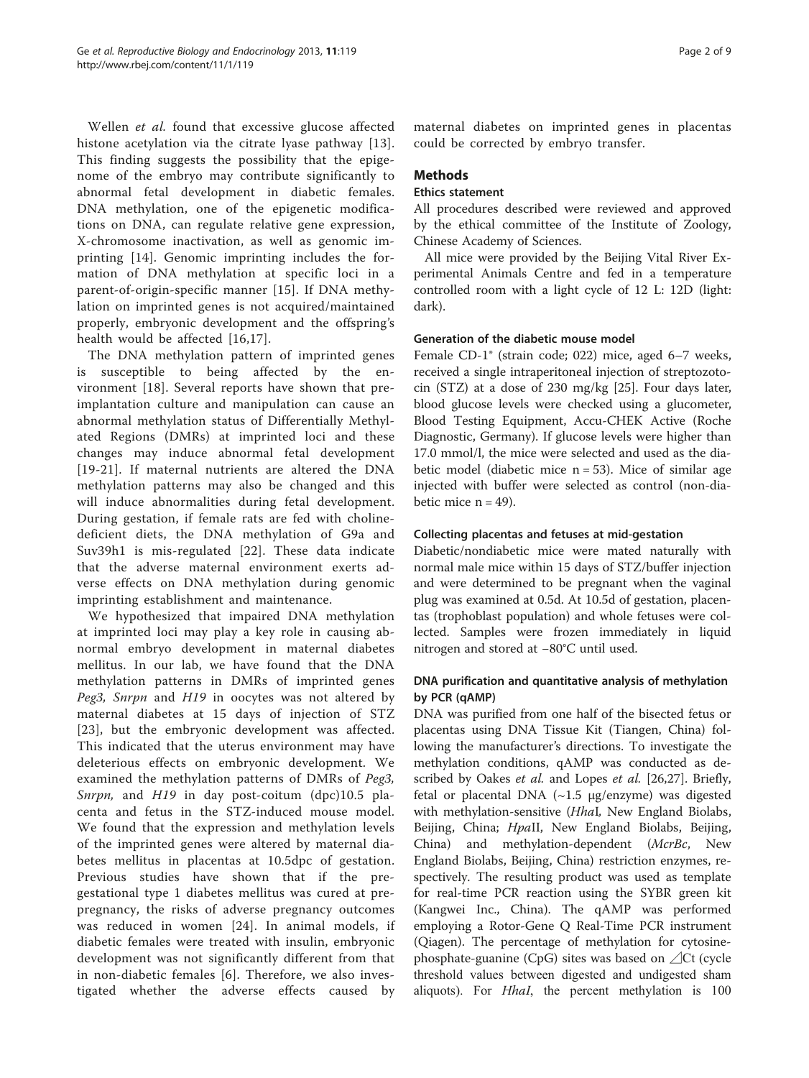Wellen et al. found that excessive glucose affected histone acetylation via the citrate lyase pathway [[13](#page-8-0)]. This finding suggests the possibility that the epigenome of the embryo may contribute significantly to abnormal fetal development in diabetic females. DNA methylation, one of the epigenetic modifications on DNA, can regulate relative gene expression, X-chromosome inactivation, as well as genomic imprinting [[14\]](#page-8-0). Genomic imprinting includes the formation of DNA methylation at specific loci in a parent-of-origin-specific manner [\[15\]](#page-8-0). If DNA methylation on imprinted genes is not acquired/maintained properly, embryonic development and the offspring's health would be affected [\[16](#page-8-0),[17](#page-8-0)].

The DNA methylation pattern of imprinted genes is susceptible to being affected by the environment [\[18](#page-8-0)]. Several reports have shown that preimplantation culture and manipulation can cause an abnormal methylation status of Differentially Methylated Regions (DMRs) at imprinted loci and these changes may induce abnormal fetal development [[19](#page-8-0)-[21](#page-8-0)]. If maternal nutrients are altered the DNA methylation patterns may also be changed and this will induce abnormalities during fetal development. During gestation, if female rats are fed with cholinedeficient diets, the DNA methylation of G9a and Suv39h1 is mis-regulated [[22\]](#page-8-0). These data indicate that the adverse maternal environment exerts adverse effects on DNA methylation during genomic imprinting establishment and maintenance.

We hypothesized that impaired DNA methylation at imprinted loci may play a key role in causing abnormal embryo development in maternal diabetes mellitus. In our lab, we have found that the DNA methylation patterns in DMRs of imprinted genes Peg3, Snrpn and H19 in oocytes was not altered by maternal diabetes at 15 days of injection of STZ [[23](#page-8-0)], but the embryonic development was affected. This indicated that the uterus environment may have deleterious effects on embryonic development. We examined the methylation patterns of DMRs of Peg3, Snrpn, and H19 in day post-coitum (dpc)10.5 placenta and fetus in the STZ-induced mouse model. We found that the expression and methylation levels of the imprinted genes were altered by maternal diabetes mellitus in placentas at 10.5dpc of gestation. Previous studies have shown that if the pregestational type 1 diabetes mellitus was cured at prepregnancy, the risks of adverse pregnancy outcomes was reduced in women [[24\]](#page-8-0). In animal models, if diabetic females were treated with insulin, embryonic development was not significantly different from that in non-diabetic females [[6](#page-8-0)]. Therefore, we also investigated whether the adverse effects caused by maternal diabetes on imprinted genes in placentas could be corrected by embryo transfer.

#### **Methods**

#### Ethics statement

All procedures described were reviewed and approved by the ethical committee of the Institute of Zoology, Chinese Academy of Sciences.

All mice were provided by the Beijing Vital River Experimental Animals Centre and fed in a temperature controlled room with a light cycle of 12 L: 12D (light: dark).

### Generation of the diabetic mouse model

Female CD-1® (strain code; 022) mice, aged 6–7 weeks, received a single intraperitoneal injection of streptozotocin (STZ) at a dose of 230 mg/kg [\[25\]](#page-8-0). Four days later, blood glucose levels were checked using a glucometer, Blood Testing Equipment, Accu-CHEK Active (Roche Diagnostic, Germany). If glucose levels were higher than 17.0 mmol/l, the mice were selected and used as the diabetic model (diabetic mice  $n = 53$ ). Mice of similar age injected with buffer were selected as control (non-diabetic mice  $n = 49$ ).

#### Collecting placentas and fetuses at mid-gestation

Diabetic/nondiabetic mice were mated naturally with normal male mice within 15 days of STZ/buffer injection and were determined to be pregnant when the vaginal plug was examined at 0.5d. At 10.5d of gestation, placentas (trophoblast population) and whole fetuses were collected. Samples were frozen immediately in liquid nitrogen and stored at −80°C until used.

### DNA purification and quantitative analysis of methylation by PCR (qAMP)

DNA was purified from one half of the bisected fetus or placentas using DNA Tissue Kit (Tiangen, China) following the manufacturer's directions. To investigate the methylation conditions, qAMP was conducted as described by Oakes *et al.* and Lopes *et al.* [\[26,27](#page-8-0)]. Briefly, fetal or placental DNA (~1.5 μg/enzyme) was digested with methylation-sensitive (HhaI, New England Biolabs, Beijing, China; *HpaII*, New England Biolabs, Beijing, China) and methylation-dependent (McrBc, New England Biolabs, Beijing, China) restriction enzymes, respectively. The resulting product was used as template for real-time PCR reaction using the SYBR green kit (Kangwei Inc., China). The qAMP was performed employing a Rotor-Gene Q Real-Time PCR instrument (Qiagen). The percentage of methylation for cytosinephosphate-guanine (CpG) sites was based on ⊿Ct (cycle threshold values between digested and undigested sham aliquots). For HhaI, the percent methylation is 100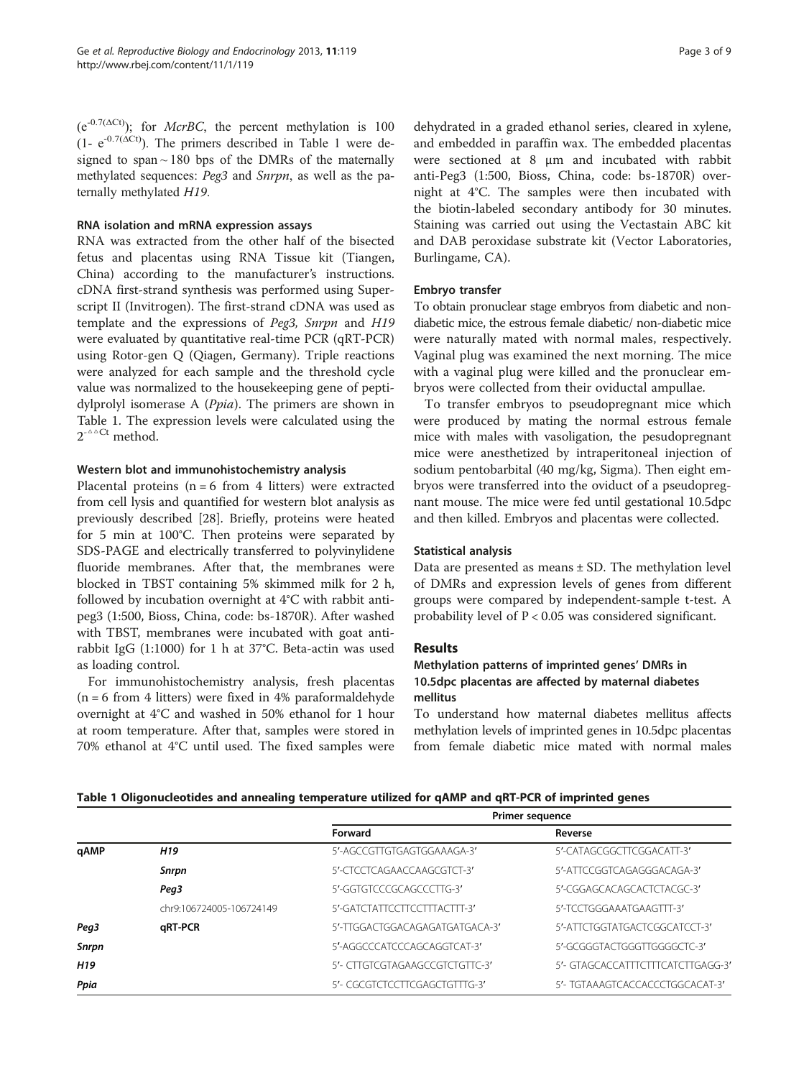$(e^{-0.7(\Delta Ct)})$ ; for *McrBC*, the percent methylation is 100  $(1 - e^{-0.7(\Delta Ct)})$ . The primers described in Table 1 were designed to span  $\sim$  180 bps of the DMRs of the maternally methylated sequences: Peg3 and Snrpn, as well as the paternally methylated H19.

#### RNA isolation and mRNA expression assays

RNA was extracted from the other half of the bisected fetus and placentas using RNA Tissue kit (Tiangen, China) according to the manufacturer's instructions. cDNA first-strand synthesis was performed using Superscript II (Invitrogen). The first-strand cDNA was used as template and the expressions of Peg3, Snrpn and H19 were evaluated by quantitative real-time PCR (qRT-PCR) using Rotor-gen Q (Qiagen, Germany). Triple reactions were analyzed for each sample and the threshold cycle value was normalized to the housekeeping gene of peptidylprolyl isomerase A (Ppia). The primers are shown in Table 1. The expression levels were calculated using the  $2^{-\Delta\Delta}$ Ct method.

#### Western blot and immunohistochemistry analysis

Placental proteins ( $n = 6$  from 4 litters) were extracted from cell lysis and quantified for western blot analysis as previously described [\[28](#page-8-0)]. Briefly, proteins were heated for 5 min at 100°C. Then proteins were separated by SDS-PAGE and electrically transferred to polyvinylidene fluoride membranes. After that, the membranes were blocked in TBST containing 5% skimmed milk for 2 h, followed by incubation overnight at 4°C with rabbit antipeg3 (1:500, Bioss, China, code: bs-1870R). After washed with TBST, membranes were incubated with goat antirabbit IgG (1:1000) for 1 h at 37°C. Beta-actin was used as loading control.

For immunohistochemistry analysis, fresh placentas  $(n = 6$  from 4 litters) were fixed in 4% paraformaldehyde overnight at 4°C and washed in 50% ethanol for 1 hour at room temperature. After that, samples were stored in 70% ethanol at 4°C until used. The fixed samples were

dehydrated in a graded ethanol series, cleared in xylene, and embedded in paraffin wax. The embedded placentas were sectioned at 8 μm and incubated with rabbit anti-Peg3 (1:500, Bioss, China, code: bs-1870R) overnight at 4°C. The samples were then incubated with the biotin-labeled secondary antibody for 30 minutes. Staining was carried out using the Vectastain ABC kit and DAB peroxidase substrate kit (Vector Laboratories, Burlingame, CA).

#### Embryo transfer

To obtain pronuclear stage embryos from diabetic and nondiabetic mice, the estrous female diabetic/ non-diabetic mice were naturally mated with normal males, respectively. Vaginal plug was examined the next morning. The mice with a vaginal plug were killed and the pronuclear embryos were collected from their oviductal ampullae.

To transfer embryos to pseudopregnant mice which were produced by mating the normal estrous female mice with males with vasoligation, the pesudopregnant mice were anesthetized by intraperitoneal injection of sodium pentobarbital (40 mg/kg, Sigma). Then eight embryos were transferred into the oviduct of a pseudopregnant mouse. The mice were fed until gestational 10.5dpc and then killed. Embryos and placentas were collected.

#### Statistical analysis

Data are presented as means  $\pm$  SD. The methylation level of DMRs and expression levels of genes from different groups were compared by independent-sample t-test. A probability level of  $P < 0.05$  was considered significant.

#### Results

## Methylation patterns of imprinted genes' DMRs in 10.5dpc placentas are affected by maternal diabetes mellitus

To understand how maternal diabetes mellitus affects methylation levels of imprinted genes in 10.5dpc placentas from female diabetic mice mated with normal males

|                 |                          | <b>Primer sequence</b>         |                                   |
|-----------------|--------------------------|--------------------------------|-----------------------------------|
|                 |                          | Forward                        | Reverse                           |
| qAMP            | H <sub>19</sub>          | 5'-AGCCGTTGTGAGTGGAAAGA-3'     | 5'-CATAGCGGCTTCGGACATT-3'         |
|                 | Snrpn                    | 5'-CTCCTCAGAACCAAGCGTCT-3'     | 5'-ATTCCGGTCAGAGGGACAGA-3'        |
|                 | Peg3                     | 5'-GGTGTCCCGCAGCCCTTG-3'       | 5'-CGGAGCACAGCACTCTACGC-3'        |
|                 | chr9:106724005-106724149 | 5'-GATCTATTCCTTCCTTTACTTT-3'   | 5'-TCCTGGGAAATGAAGTTT-3'          |
| Peg3            | qRT-PCR                  | 5'-TTGGACTGGACAGAGATGATGACA-3' | 5'-ATTCTGGTATGACTCGGCATCCT-3'     |
| Snrpn           |                          | 5'-AGGCCCATCCCAGCAGGTCAT-3'    | 5'-GCGGGTACTGGGTTGGGGCTC-3'       |
| H <sub>19</sub> |                          | 5'- CITGICGTAGAAGCCGTCTGTTC-3' | 5'- GTAGCACCATTTCTTTCATCTTGAGG-3' |
| Ppia            |                          | 5'- CGCGTCTCCTTCGAGCTGTTTG-3'  | 5'- TGTAAAGTCACCACCCTGGCACAT-3'   |
|                 |                          |                                |                                   |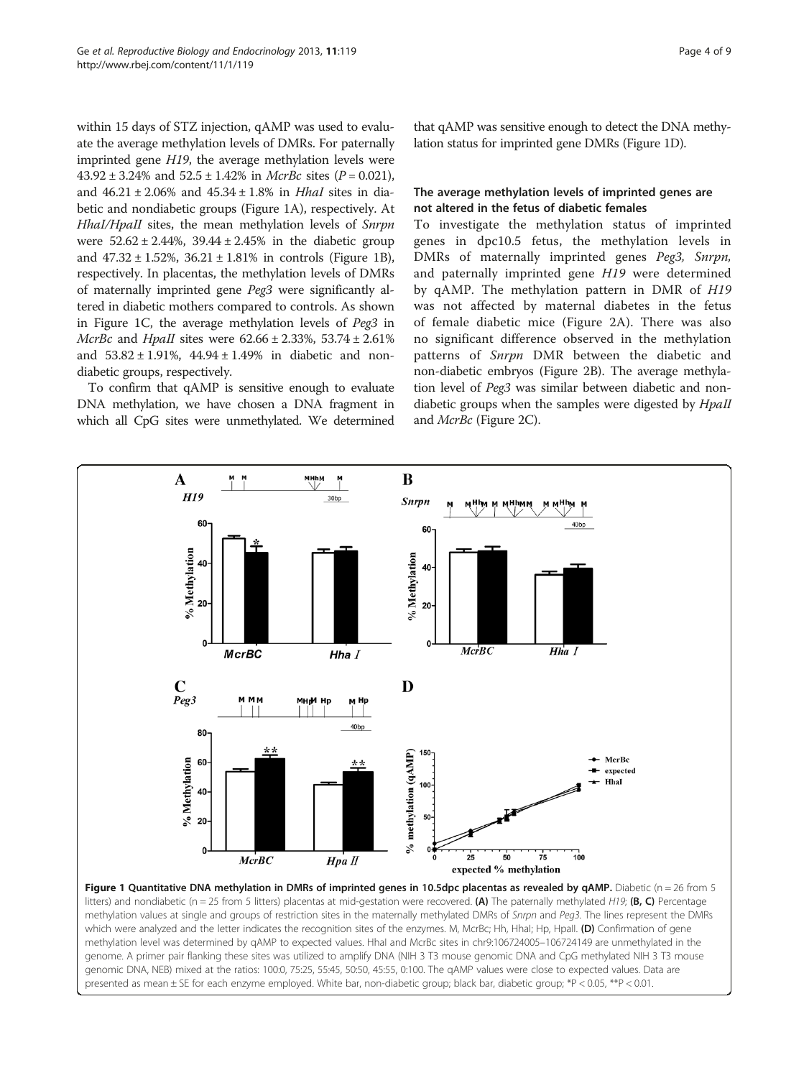within 15 days of STZ injection, qAMP was used to evaluate the average methylation levels of DMRs. For paternally imprinted gene H19, the average methylation levels were  $43.92 \pm 3.24\%$  and  $52.5 \pm 1.42\%$  in *McrBc* sites ( $P = 0.021$ ), and  $46.21 \pm 2.06\%$  and  $45.34 \pm 1.8\%$  in *Hhal* sites in diabetic and nondiabetic groups (Figure 1A), respectively. At HhaI/HpaII sites, the mean methylation levels of Snrpn were  $52.62 \pm 2.44\%$ ,  $39.44 \pm 2.45\%$  in the diabetic group and  $47.32 \pm 1.52$ %,  $36.21 \pm 1.81$ % in controls (Figure 1B), respectively. In placentas, the methylation levels of DMRs of maternally imprinted gene Peg3 were significantly altered in diabetic mothers compared to controls. As shown in Figure 1C, the average methylation levels of Peg3 in *McrBc* and *HpaII* sites were  $62.66 \pm 2.33$ %,  $53.74 \pm 2.61$ % and  $53.82 \pm 1.91\%$ ,  $44.94 \pm 1.49\%$  in diabetic and nondiabetic groups, respectively.

To confirm that qAMP is sensitive enough to evaluate DNA methylation, we have chosen a DNA fragment in which all CpG sites were unmethylated. We determined

that qAMP was sensitive enough to detect the DNA methylation status for imprinted gene DMRs (Figure 1D).

#### The average methylation levels of imprinted genes are not altered in the fetus of diabetic females

To investigate the methylation status of imprinted genes in dpc10.5 fetus, the methylation levels in DMRs of maternally imprinted genes Peg3, Snrpn, and paternally imprinted gene H19 were determined by qAMP. The methylation pattern in DMR of H19 was not affected by maternal diabetes in the fetus of female diabetic mice (Figure [2A](#page-4-0)). There was also no significant difference observed in the methylation patterns of Snrpn DMR between the diabetic and non-diabetic embryos (Figure [2](#page-4-0)B). The average methylation level of Peg3 was similar between diabetic and nondiabetic groups when the samples were digested by *HpaII* and McrBc (Figure [2](#page-4-0)C).



presented as mean ± SE for each enzyme employed. White bar, non-diabetic group; black bar, diabetic group; \*P < 0.05, \*\*P < 0.01.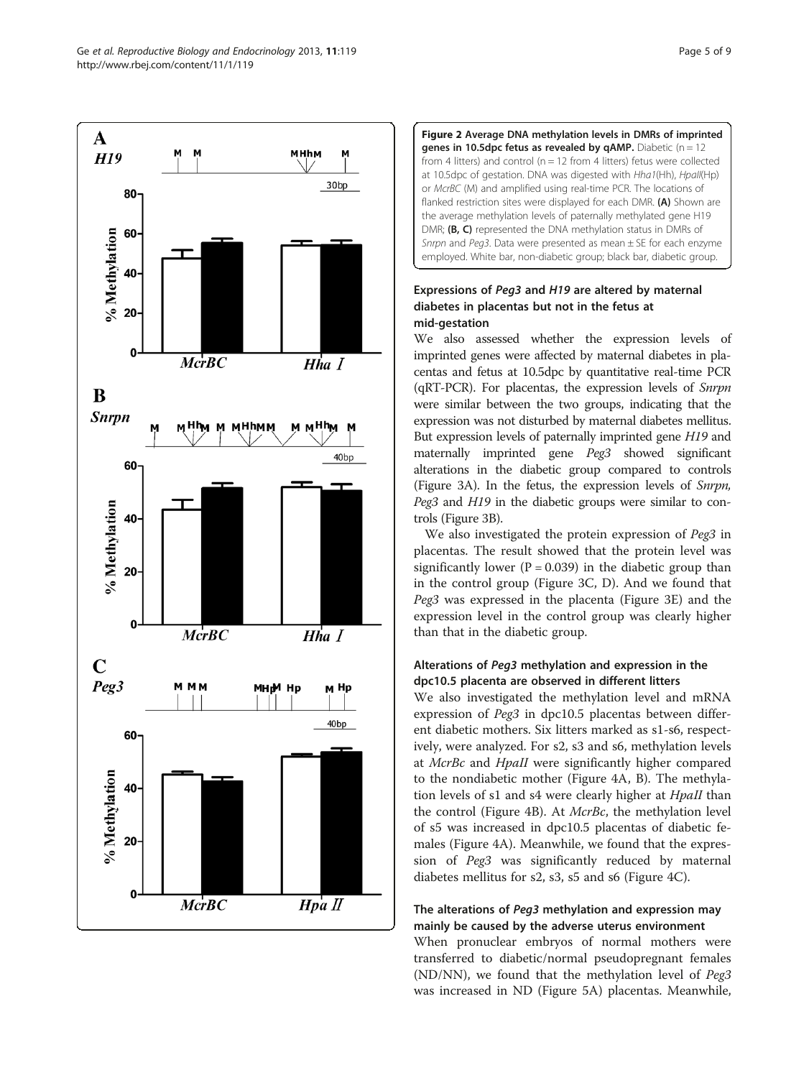<span id="page-4-0"></span>



## Expressions of Peg3 and H19 are altered by maternal diabetes in placentas but not in the fetus at mid-gestation

We also assessed whether the expression levels of imprinted genes were affected by maternal diabetes in placentas and fetus at 10.5dpc by quantitative real-time PCR (qRT-PCR). For placentas, the expression levels of Snrpn were similar between the two groups, indicating that the expression was not disturbed by maternal diabetes mellitus. But expression levels of paternally imprinted gene H19 and maternally imprinted gene Peg3 showed significant alterations in the diabetic group compared to controls (Figure [3A](#page-5-0)). In the fetus, the expression levels of Snrpn, Peg3 and H19 in the diabetic groups were similar to controls (Figure [3B](#page-5-0)).

We also investigated the protein expression of Peg3 in placentas. The result showed that the protein level was significantly lower ( $P = 0.039$ ) in the diabetic group than in the control group (Figure [3C](#page-5-0), D). And we found that Peg3 was expressed in the placenta (Figure [3](#page-5-0)E) and the expression level in the control group was clearly higher than that in the diabetic group.

## Alterations of Peg3 methylation and expression in the dpc10.5 placenta are observed in different litters

We also investigated the methylation level and mRNA expression of Peg3 in dpc10.5 placentas between different diabetic mothers. Six litters marked as s1-s6, respectively, were analyzed. For s2, s3 and s6, methylation levels at McrBc and HpaII were significantly higher compared to the nondiabetic mother (Figure [4](#page-6-0)A, B). The methylation levels of s1 and s4 were clearly higher at *HpaII* than the control (Figure [4](#page-6-0)B). At McrBc, the methylation level of s5 was increased in dpc10.5 placentas of diabetic females (Figure [4A](#page-6-0)). Meanwhile, we found that the expression of Peg3 was significantly reduced by maternal diabetes mellitus for s2, s3, s5 and s6 (Figure [4](#page-6-0)C).

## The alterations of Peg3 methylation and expression may mainly be caused by the adverse uterus environment

When pronuclear embryos of normal mothers were transferred to diabetic/normal pseudopregnant females (ND/NN), we found that the methylation level of Peg3 was increased in ND (Figure [5A](#page-7-0)) placentas. Meanwhile,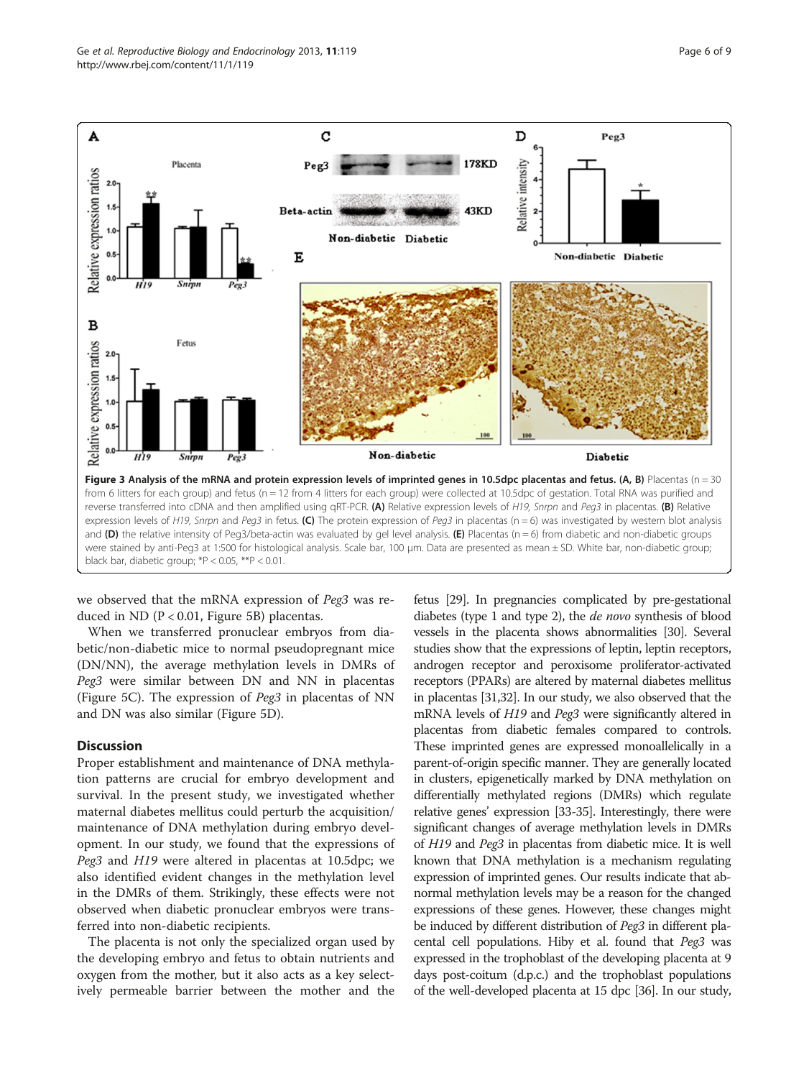<span id="page-5-0"></span>

we observed that the mRNA expression of Peg3 was reduced in ND (P < 0.01, Figure [5](#page-7-0)B) placentas.

When we transferred pronuclear embryos from diabetic/non-diabetic mice to normal pseudopregnant mice (DN/NN), the average methylation levels in DMRs of Peg3 were similar between DN and NN in placentas (Figure [5](#page-7-0)C). The expression of Peg3 in placentas of NN and DN was also similar (Figure [5D](#page-7-0)).

#### **Discussion**

Proper establishment and maintenance of DNA methylation patterns are crucial for embryo development and survival. In the present study, we investigated whether maternal diabetes mellitus could perturb the acquisition/ maintenance of DNA methylation during embryo development. In our study, we found that the expressions of Peg3 and H19 were altered in placentas at 10.5dpc; we also identified evident changes in the methylation level in the DMRs of them. Strikingly, these effects were not observed when diabetic pronuclear embryos were transferred into non-diabetic recipients.

The placenta is not only the specialized organ used by the developing embryo and fetus to obtain nutrients and oxygen from the mother, but it also acts as a key selectively permeable barrier between the mother and the

fetus [\[29](#page-8-0)]. In pregnancies complicated by pre-gestational diabetes (type 1 and type 2), the de novo synthesis of blood vessels in the placenta shows abnormalities [[30\]](#page-8-0). Several studies show that the expressions of leptin, leptin receptors, androgen receptor and peroxisome proliferator-activated receptors (PPARs) are altered by maternal diabetes mellitus in placentas [\[31,32\]](#page-8-0). In our study, we also observed that the mRNA levels of H19 and Peg3 were significantly altered in placentas from diabetic females compared to controls. These imprinted genes are expressed monoallelically in a parent-of-origin specific manner. They are generally located in clusters, epigenetically marked by DNA methylation on differentially methylated regions (DMRs) which regulate relative genes' expression [\[33-35\]](#page-8-0). Interestingly, there were significant changes of average methylation levels in DMRs of H19 and Peg3 in placentas from diabetic mice. It is well known that DNA methylation is a mechanism regulating expression of imprinted genes. Our results indicate that abnormal methylation levels may be a reason for the changed expressions of these genes. However, these changes might be induced by different distribution of *Peg3* in different placental cell populations. Hiby et al. found that Peg3 was expressed in the trophoblast of the developing placenta at 9 days post-coitum (d.p.c.) and the trophoblast populations of the well-developed placenta at 15 dpc [\[36\]](#page-8-0). In our study,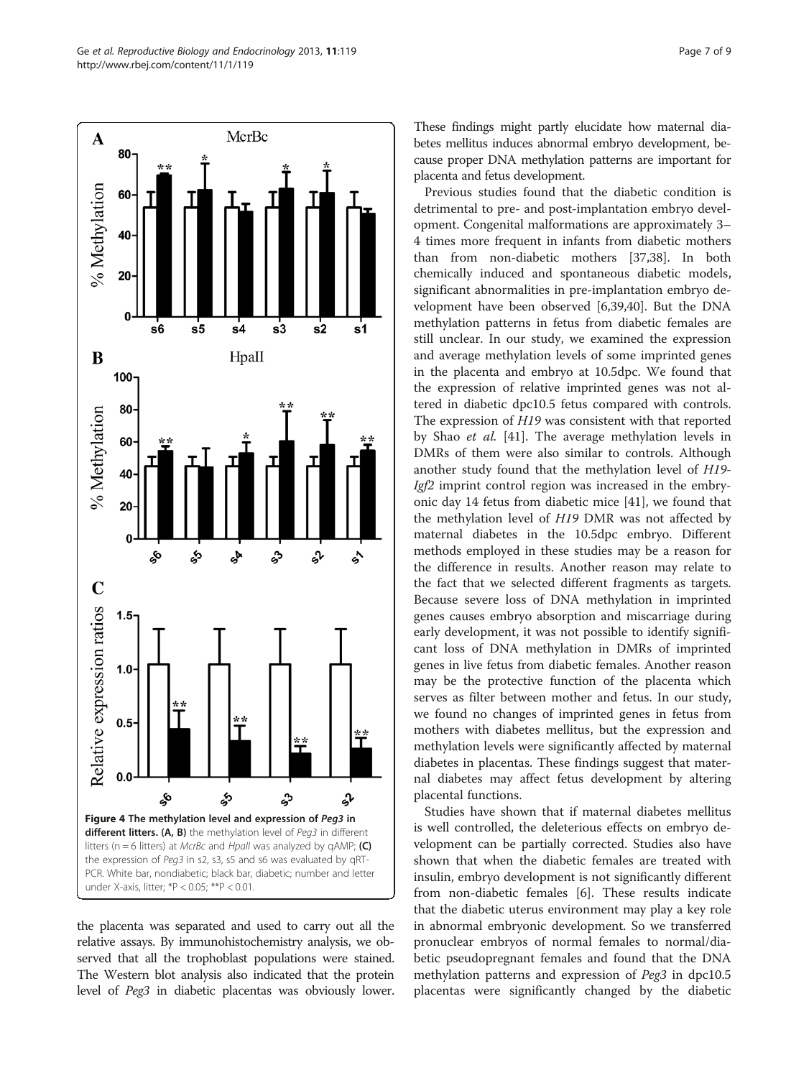<span id="page-6-0"></span>

the placenta was separated and used to carry out all the relative assays. By immunohistochemistry analysis, we observed that all the trophoblast populations were stained. The Western blot analysis also indicated that the protein level of Peg3 in diabetic placentas was obviously lower.

These findings might partly elucidate how maternal diabetes mellitus induces abnormal embryo development, because proper DNA methylation patterns are important for placenta and fetus development.

Previous studies found that the diabetic condition is detrimental to pre- and post-implantation embryo development. Congenital malformations are approximately 3– 4 times more frequent in infants from diabetic mothers than from non-diabetic mothers [\[37,38](#page-8-0)]. In both chemically induced and spontaneous diabetic models, significant abnormalities in pre-implantation embryo development have been observed [[6](#page-8-0),[39](#page-8-0),[40](#page-8-0)]. But the DNA methylation patterns in fetus from diabetic females are still unclear. In our study, we examined the expression and average methylation levels of some imprinted genes in the placenta and embryo at 10.5dpc. We found that the expression of relative imprinted genes was not altered in diabetic dpc10.5 fetus compared with controls. The expression of H19 was consistent with that reported by Shao et al. [[41\]](#page-8-0). The average methylation levels in DMRs of them were also similar to controls. Although another study found that the methylation level of H19- Igf2 imprint control region was increased in the embryonic day 14 fetus from diabetic mice [[41](#page-8-0)], we found that the methylation level of H19 DMR was not affected by maternal diabetes in the 10.5dpc embryo. Different methods employed in these studies may be a reason for the difference in results. Another reason may relate to the fact that we selected different fragments as targets. Because severe loss of DNA methylation in imprinted genes causes embryo absorption and miscarriage during early development, it was not possible to identify significant loss of DNA methylation in DMRs of imprinted genes in live fetus from diabetic females. Another reason may be the protective function of the placenta which serves as filter between mother and fetus. In our study, we found no changes of imprinted genes in fetus from mothers with diabetes mellitus, but the expression and methylation levels were significantly affected by maternal diabetes in placentas. These findings suggest that maternal diabetes may affect fetus development by altering placental functions.

Studies have shown that if maternal diabetes mellitus is well controlled, the deleterious effects on embryo development can be partially corrected. Studies also have shown that when the diabetic females are treated with insulin, embryo development is not significantly different from non-diabetic females [\[6](#page-8-0)]. These results indicate that the diabetic uterus environment may play a key role in abnormal embryonic development. So we transferred pronuclear embryos of normal females to normal/diabetic pseudopregnant females and found that the DNA methylation patterns and expression of Peg3 in dpc10.5 placentas were significantly changed by the diabetic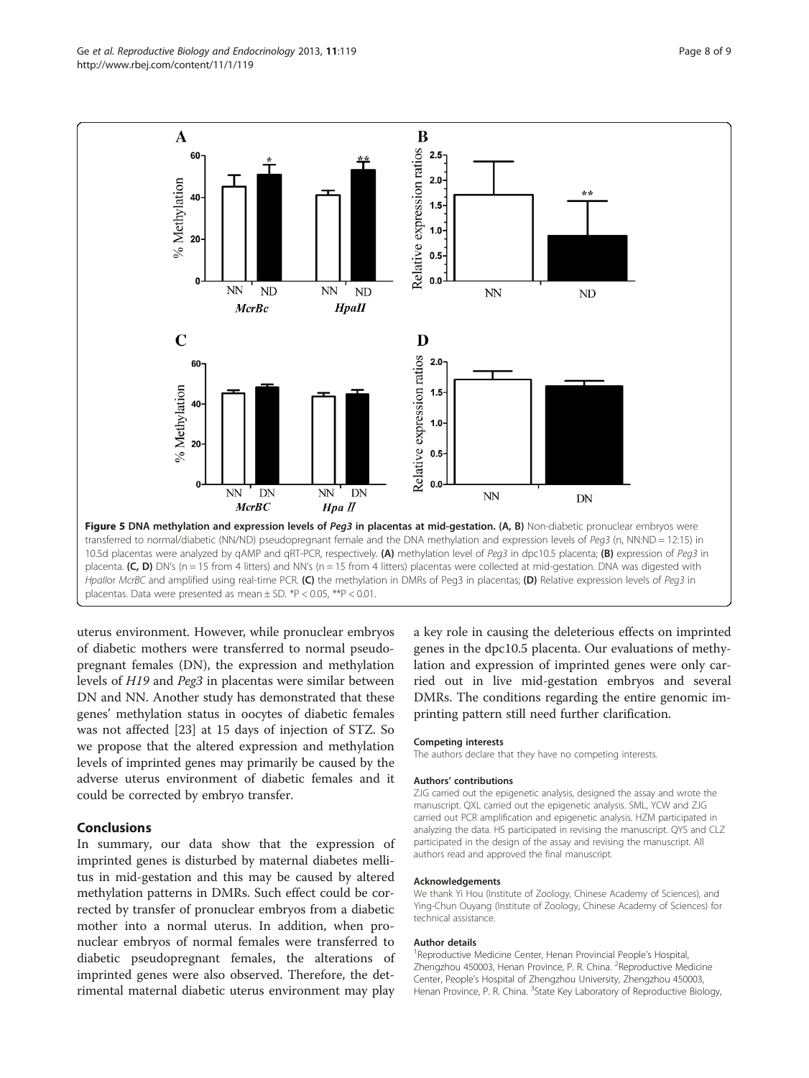<span id="page-7-0"></span>

uterus environment. However, while pronuclear embryos of diabetic mothers were transferred to normal pseudopregnant females (DN), the expression and methylation levels of H19 and Peg3 in placentas were similar between DN and NN. Another study has demonstrated that these genes' methylation status in oocytes of diabetic females was not affected [[23](#page-8-0)] at 15 days of injection of STZ. So we propose that the altered expression and methylation levels of imprinted genes may primarily be caused by the adverse uterus environment of diabetic females and it could be corrected by embryo transfer.

#### **Conclusions**

In summary, our data show that the expression of imprinted genes is disturbed by maternal diabetes mellitus in mid-gestation and this may be caused by altered methylation patterns in DMRs. Such effect could be corrected by transfer of pronuclear embryos from a diabetic mother into a normal uterus. In addition, when pronuclear embryos of normal females were transferred to diabetic pseudopregnant females, the alterations of imprinted genes were also observed. Therefore, the detrimental maternal diabetic uterus environment may play

a key role in causing the deleterious effects on imprinted genes in the dpc10.5 placenta. Our evaluations of methylation and expression of imprinted genes were only carried out in live mid-gestation embryos and several DMRs. The conditions regarding the entire genomic imprinting pattern still need further clarification.

#### Competing interests

The authors declare that they have no competing interests.

#### Authors' contributions

ZJG carried out the epigenetic analysis, designed the assay and wrote the manuscript. QXL carried out the epigenetic analysis. SML, YCW and ZJG carried out PCR amplification and epigenetic analysis. HZM participated in analyzing the data. HS participated in revising the manuscript. QYS and CLZ participated in the design of the assay and revising the manuscript. All authors read and approved the final manuscript.

#### Acknowledgements

We thank Yi Hou (Institute of Zoology, Chinese Academy of Sciences), and Ying-Chun Ouyang (Institute of Zoology, Chinese Academy of Sciences) for technical assistance.

#### Author details

<sup>1</sup> Reproductive Medicine Center, Henan Provincial People's Hospital Zhengzhou 450003, Henan Province, P. R. China. <sup>2</sup>Reproductive Medicine Center, People's Hospital of Zhengzhou University, Zhengzhou 450003, Henan Province, P. R. China. <sup>3</sup>State Key Laboratory of Reproductive Biology,